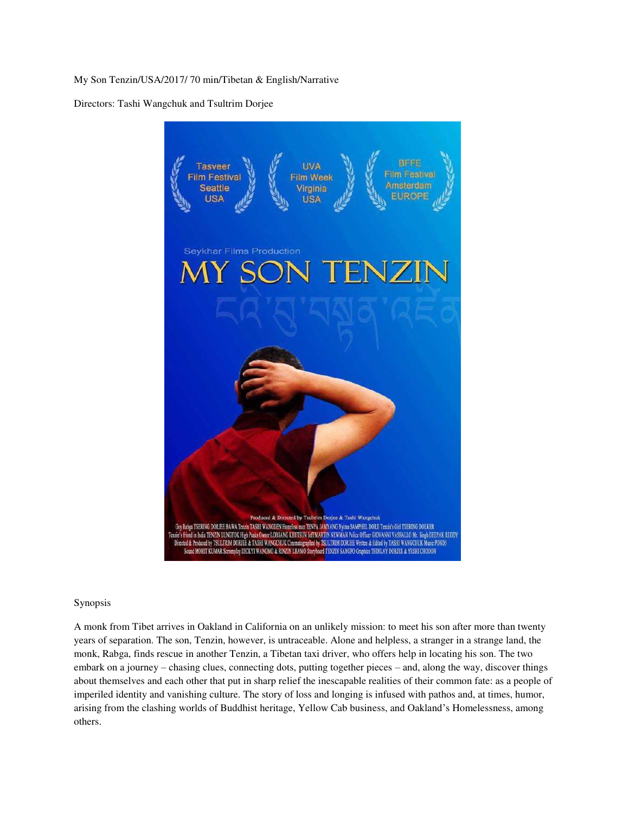My Son Tenzin/USA/2017/ 70 min/Tibetan & English/Narrative

Directors: Tashi Wangchuk and Tsultrim Dorjee



## Synopsis

A monk from Tibet arrives in Oakland in California on an unlikely mission: to meet his son after more than twenty years of separation. The son, Tenzin, however, is untraceable. Alone and helpless, a stranger in a strange land, the monk, Rabga, finds rescue in another Tenzin, a Tibetan taxi driver, who offers help in locating his son. The two embark on a journey – chasing clues, connecting dots, putting together pieces – and, along the way, discover things about themselves and each other that put in sharp relief the inescapable realities of their common fate: as a people of imperiled identity and vanishing culture. The story of loss and longing is infused with pathos and, at times, humor, arising from the clashing worlds of Buddhist heritage, Yellow Cab business, and Oakland's Homelessness, among others.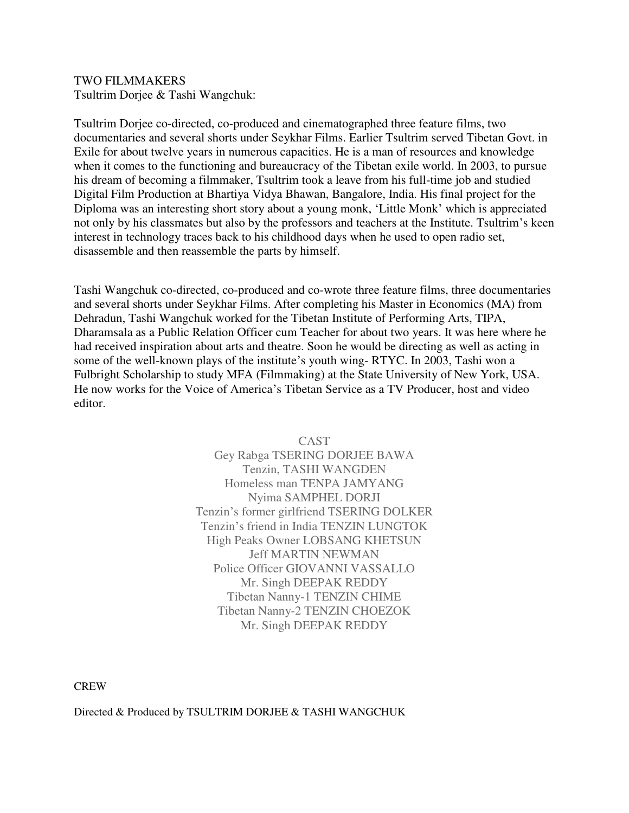## TWO FILMMAKERS

Tsultrim Dorjee & Tashi Wangchuk:

Tsultrim Dorjee co-directed, co-produced and cinematographed three feature films, two documentaries and several shorts under Seykhar Films. Earlier Tsultrim served Tibetan Govt. in Exile for about twelve years in numerous capacities. He is a man of resources and knowledge when it comes to the functioning and bureaucracy of the Tibetan exile world. In 2003, to pursue his dream of becoming a filmmaker, Tsultrim took a leave from his full-time job and studied Digital Film Production at Bhartiya Vidya Bhawan, Bangalore, India. His final project for the Diploma was an interesting short story about a young monk, 'Little Monk' which is appreciated not only by his classmates but also by the professors and teachers at the Institute. Tsultrim's keen interest in technology traces back to his childhood days when he used to open radio set, disassemble and then reassemble the parts by himself.

Tashi Wangchuk co-directed, co-produced and co-wrote three feature films, three documentaries and several shorts under Seykhar Films. After completing his Master in Economics (MA) from Dehradun, Tashi Wangchuk worked for the Tibetan Institute of Performing Arts, TIPA, Dharamsala as a Public Relation Officer cum Teacher for about two years. It was here where he had received inspiration about arts and theatre. Soon he would be directing as well as acting in some of the well-known plays of the institute's youth wing- RTYC. In 2003, Tashi won a Fulbright Scholarship to study MFA (Filmmaking) at the State University of New York, USA. He now works for the Voice of America's Tibetan Service as a TV Producer, host and video editor.

> CAST Gey Rabga TSERING DORJEE BAWA Tenzin, TASHI WANGDEN Homeless man TENPA JAMYANG Nyima SAMPHEL DORJI Tenzin's former girlfriend TSERING DOLKER Tenzin's friend in India TENZIN LUNGTOK High Peaks Owner LOBSANG KHETSUN Jeff MARTIN NEWMAN Police Officer GIOVANNI VASSALLO Mr. Singh DEEPAK REDDY Tibetan Nanny-1 TENZIN CHIME Tibetan Nanny-2 TENZIN CHOEZOK Mr. Singh DEEPAK REDDY

CREW

Directed & Produced by TSULTRIM DORJEE & TASHI WANGCHUK